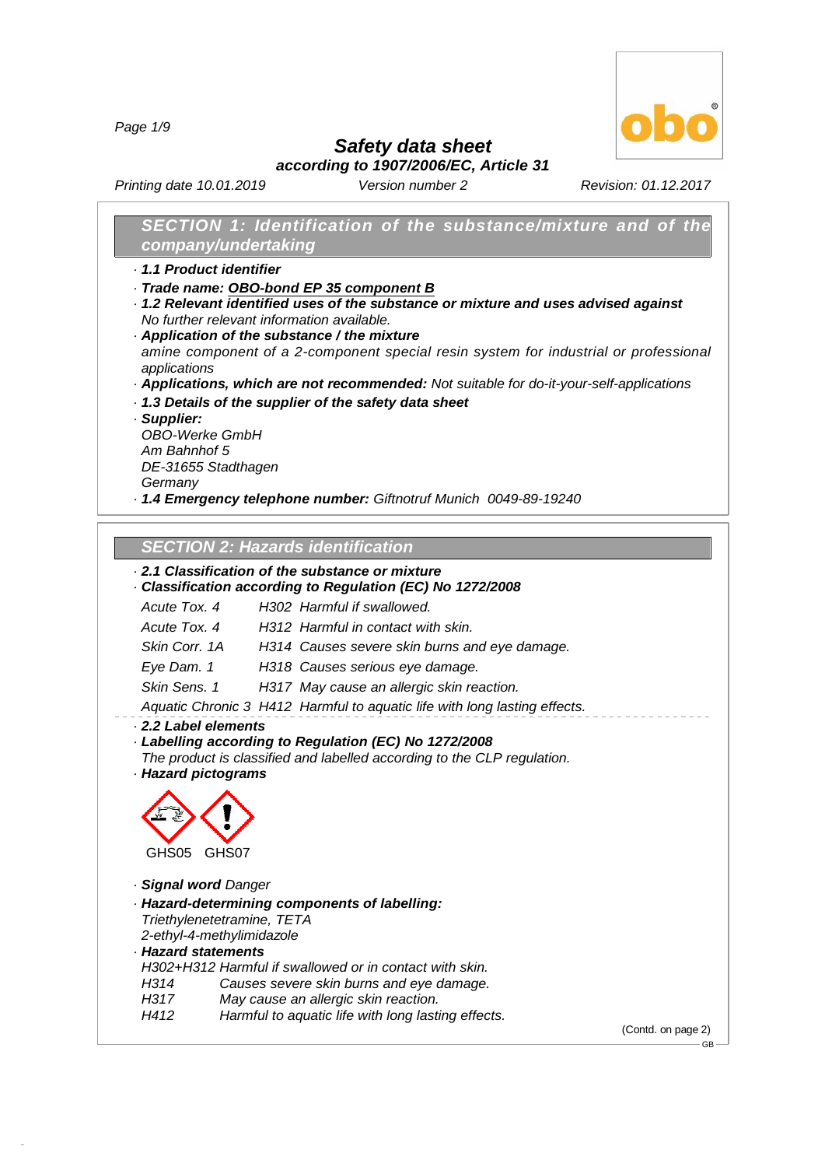*Page 1/9*



*Safety data sheet*

*according to 1907/2006/EC, Article 31*

*Printing date 10.01.2019 Version number 2 Revision: 01.12.2017*

# *SECTION 1: Identification of the substance/mixture and of the company/undertaking*

- *· 1.1 Product identifier*
- *· Trade name: OBO-bond EP 35 component B*
- *· 1.2 Relevant identified uses of the substance or mixture and uses advised against No further relevant information available.*
- *· Application of the substance / the mixture amine component of a 2-component special resin system for industrial or professional applications*
- *· Applications, which are not recommended: Not suitable for do-it-your-self-applications*
- *· 1.3 Details of the supplier of the safety data sheet*
- *· Supplier:*

*OBO-Werke GmbH Am Bahnhof 5 DE-31655 Stadthagen*

*Germany*

*· 1.4 Emergency telephone number: Giftnotruf Munich 0049-89-19240*

## *SECTION 2:Hazards identification*

# *· 2.1 Classification of the substance or mixture*

#### *· Classification according to Regulation (EC) No 1272/2008*

*Acute Tox. 4 H302 Harmful if swallowed.*

*Acute Tox. 4 H312 Harmful in contact with skin.*

*Skin Corr. 1A H314 Causes severe skin burns and eye damage.*

*Eye Dam. 1 H318 Causes serious eye damage.*

*Skin Sens. 1 H317 May cause an allergic skin reaction.*

*Aquatic Chronic 3 H412 Harmful to aquatic life with long lasting effects.*

*· 2.2 Label elements*

*· Labelling according to Regulation (EC) No 1272/2008*

*The product is classified and labelled according to the CLP regulation. · Hazard pictograms*



*· Signal word Danger*

- *· Hazard-determining components of labelling:*
- *Triethylenetetramine, TETA*

*2-ethyl-4-methylimidazole*

*· Hazard statements*

48.0.6

*H302+H312 Harmful if swallowed or in contact with skin.*

- *H314 Causes severe skin burns and eye damage.*
- *H317 May cause an allergic skin reaction.*
- *H412 Harmful to aquatic life with long lasting effects.*

(Contd. on page 2)

GB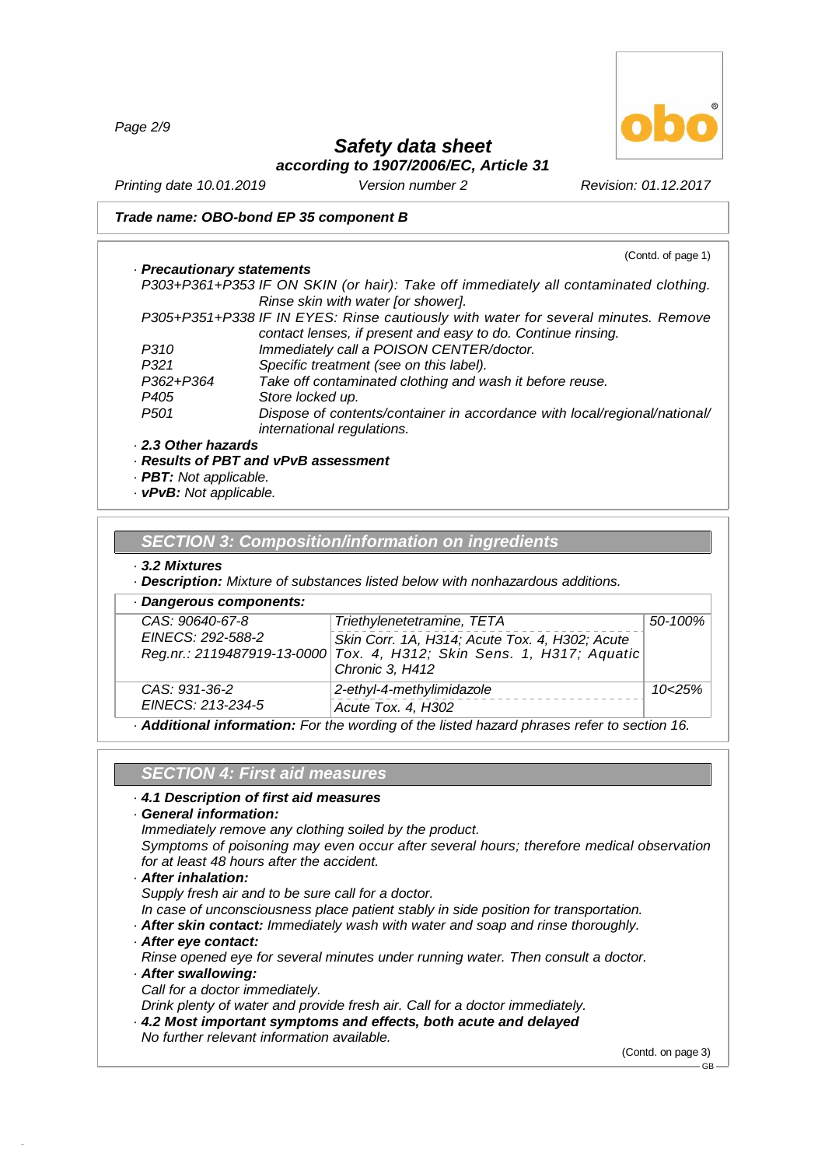*Page 2/9*



# *Safety data sheet*

*according to 1907/2006/EC, Article 31*

*Printing date 10.01.2019 Version number 2 Revision: 01.12.2017*

#### *Trade name: OBO-bond EP 35 component B*

|                              | (Contd. of page 1)                                                                   |
|------------------------------|--------------------------------------------------------------------------------------|
| · Precautionary statements   |                                                                                      |
|                              | P303+P361+P353 IF ON SKIN (or hair): Take off immediately all contaminated clothing. |
|                              | Rinse skin with water [or shower].                                                   |
|                              | P305+P351+P338 IF IN EYES: Rinse cautiously with water for several minutes. Remove   |
|                              | contact lenses, if present and easy to do. Continue rinsing.                         |
| P310                         | Immediately call a POISON CENTER/doctor.                                             |
| P321                         | Specific treatment (see on this label).                                              |
| P362+P364                    | Take off contaminated clothing and wash it before reuse.                             |
| P <sub>405</sub>             | Store locked up.                                                                     |
| P <sub>501</sub>             | Dispose of contents/container in accordance with local/regional/national/            |
|                              | international regulations.                                                           |
| 2.3 Other hazards            |                                                                                      |
|                              | · Results of PBT and vPvB assessment                                                 |
| <b>PBT:</b> Not applicable.  |                                                                                      |
| <b>vPvB:</b> Not applicable. |                                                                                      |

# *SECTION 3:Composition/information on ingredients*

#### *· 3.2 Mixtures*

*· Description: Mixture of substances listed below with nonhazardous additions.*

| · Dangerous components:              |                                                                                                                                                                          |                   |
|--------------------------------------|--------------------------------------------------------------------------------------------------------------------------------------------------------------------------|-------------------|
| CAS: 90640-67-8<br>EINECS: 292-588-2 | Triethylenetetramine, TETA<br>Skin Corr. 1A, H314; Acute Tox. 4, H302; Acute<br>Reg.nr.: 2119487919-13-0000 Tox. 4, H312; Skin Sens. 1, H317; Aquatic<br>Chronic 3, H412 | 50-100%           |
| CAS: 931-36-2<br>EINECS: 213-234-5   | 2-ethyl-4-methylimidazole<br>Acute Tox. 4, H302                                                                                                                          | 10 <sub>25%</sub> |
|                                      | Additional information: Far the westing of the listed because presence refer to esotion 18                                                                               |                   |

*· Additional information: For the wording of the listed hazard phrases refer to section 16.*

# *SECTION 4:First aid measures*

#### *· 4.1 Description of first aid measures*

#### *· General information:*

*Immediately remove any clothing soiled by the product.*

*Symptoms of poisoning may even occur after several hours; therefore medical observation for at least 48 hours after the accident.*

*· After inhalation:*

*Supply fresh air and to be sure call for a doctor.*

*In case of unconsciousness place patient stably in side position for transportation.*

*· After skin contact: Immediately wash with water and soap and rinse thoroughly.*

*· After eye contact:*

*Rinse opened eye for several minutes under running water. Then consult a doctor.*

*· After swallowing:*

48.0.6

*Call for a doctor immediately.*

*Drink plenty of water and provide fresh air. Call for a doctor immediately.*

- *· 4.2 Most important symptoms and effects, both acute and delayed*
- *No further relevant information available.*

(Contd. on page 3)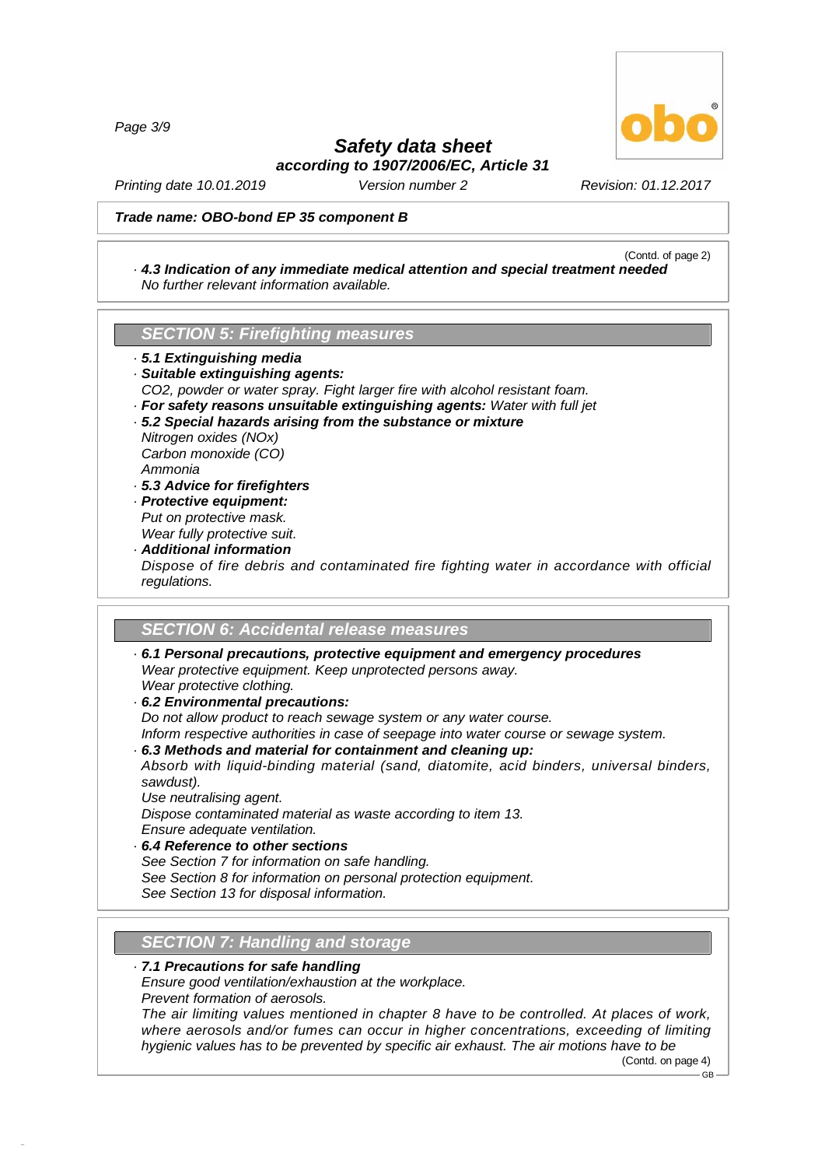*Page 3/9*



# *Safety data sheet*

*according to 1907/2006/EC, Article 31*

*Printing date 10.01.2019 Version number 2 Revision: 01.12.2017*

#### *Trade name: OBO-bond EP 35 component B*

#### (Contd. of page 2) *· 4.3 Indication of any immediate medical attention and special treatment needed No further relevant information available.*

#### **SECTION 5: Firefighting measures**

*· 5.1 Extinguishing media · Suitable extinguishing agents: CO2, powder or water spray. Fight larger fire with alcohol resistant foam. · For safety reasons unsuitable extinguishing agents: Water with full jet · 5.2 Special hazards arising from the substance or mixture Nitrogen oxides (NOx) Carbon monoxide (CO)*

*Ammonia*

- *· 5.3 Advice for firefighters*
- *· Protective equipment: Put on protective mask. Wear fully protective suit.*
- *· Additional information Dispose of fire debris and contaminated fire fighting water in accordance with official regulations.*

# *SECTION 6:Accidental release measures*

- *· 6.1 Personal precautions, protective equipment and emergency procedures Wear protective equipment. Keep unprotected persons away. Wear protective clothing.*
- *· 6.2 Environmental precautions:*

*Do not allow product to reach sewage system or any water course.*

*Inform respective authorities in case of seepage into water course or sewage system.*

*· 6.3 Methods and material for containment and cleaning up:*

*Absorb with liquid-binding material (sand, diatomite, acid binders, universal binders, sawdust).*

*Use neutralising agent.*

*Dispose contaminated material as waste according to item 13.Ensure adequate ventilation.*

*· 6.4 Reference to other sections*

*See Section 7 for information on safe handling.*

*See Section 8 for information on personal protection equipment.*

*See Section 13 for disposal information.*

## **SECTION 7: Handling and storage**

#### *· 7.1 Precautions for safe handling*

*Ensure good ventilation/exhaustion at the workplace.*

*Prevent formation of aerosols.*

48.0.6

*The air limiting values mentioned in chapter 8 have to be controlled. At places of work, where aerosols and/or fumes can occur in higher concentrations, exceeding of limiting hygienic values has to be prevented by specific air exhaust. The air motions have to be*

(Contd. on page 4)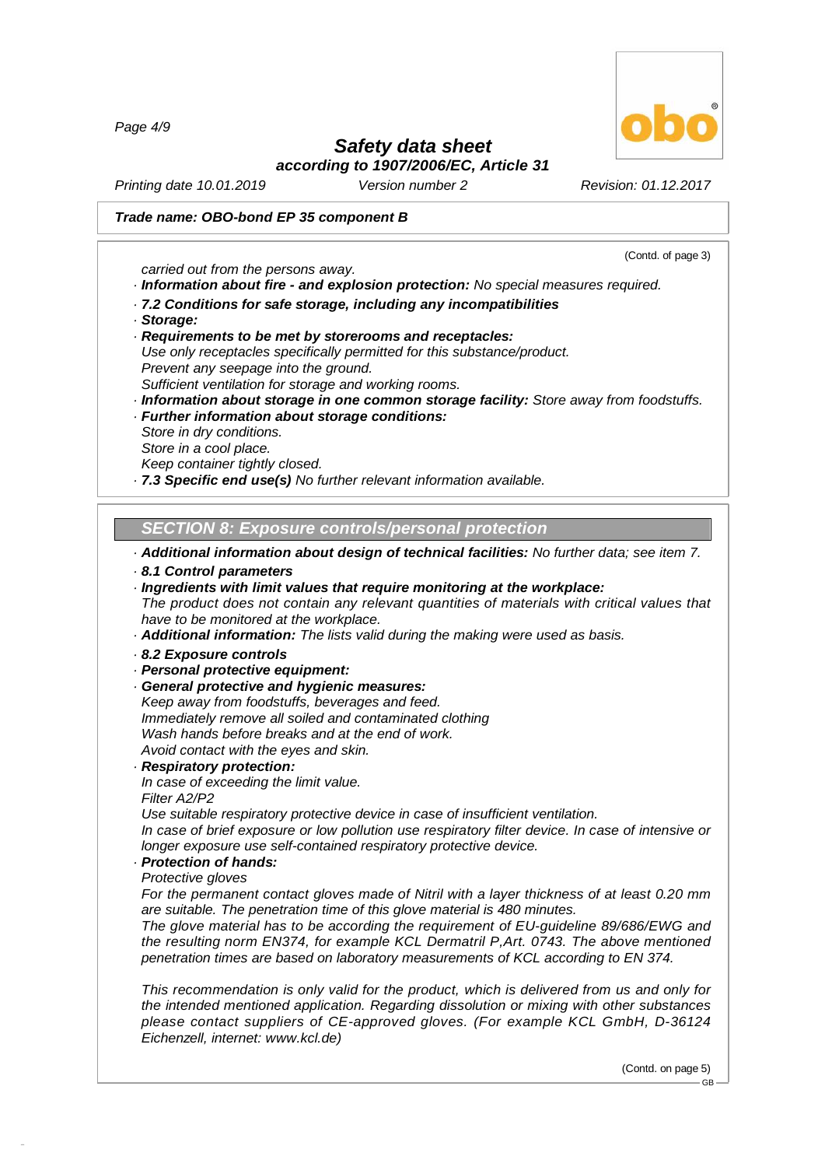*Page 4/9*

# *Safety data sheet*

*according to 1907/2006/EC, Article 31*

*Printing date 10.01.2019 Version number 2 Revision: 01.12.2017*

#### *Trade name: OBO-bond EP 35 component B*

*carried out from the persons away.*

*· Information about fire - and explosion protection: No special measures required.*

- *· 7.2 Conditions for safe storage, including any incompatibilities*
- *· Storage:*

*· Requirements to be met by storerooms and receptacles:*

*Use only receptacles specifically permitted for this substance/product.*

*Prevent any seepage into the ground.*

*Sufficient ventilation for storage and working rooms.*

*· Information about storage in one common storage facility: Store away from foodstuffs.*

*· Further information about storage conditions:*

*Store in dry conditions.*

*Store in a cool place.*

*Keep container tightly closed.*

*· 7.3 Specific end use(s) No further relevant information available.*

*SECTION 8:Exposure controls/personal protection*

*· Additional information about design of technical facilities: No further data; see item 7.*

#### *· 8.1 Control parameters*

*· Ingredients with limit values that require monitoring at the workplace: The product does not contain any relevant quantities of materials with critical values that have to be monitored at the workplace.*

*· Additional information: The lists valid during the making were used as basis.*

*· 8.2 Exposure controls*

#### *· Personal protective equipment:*

*· General protective and hygienic measures: Keep away from foodstuffs, beverages and feed. Immediately remove all soiled and contaminated clothing Wash hands before breaks and at the end of work. Avoid contact with the eyes and skin.*

#### *· Respiratory protection:*

*In case of exceeding the limit value.*

*Filter A2/P2*

48.0.6

*Use suitable respiratory protective device in case of insufficient ventilation.*

*In case of brief exposure or low pollution use respiratory filter device. In case of intensive or longer exposure use self-contained respiratory protective device.*

- *· Protection of hands:*
- *Protective gloves*

*For the permanent contact gloves made of Nitril with a layer thickness of at least 0.20 mm are suitable. The penetration time of this glove material is 480 minutes.*

*The glove material has to be according the requirement of EU-guideline 89/686/EWG and the resulting norm EN374, for example KCL Dermatril P,Art. 0743. The above mentioned penetration times are based on laboratory measurements of KCL according to EN 374.*

*This recommendation is only valid for the product, which is delivered from us and only for the intended mentioned application. Regarding dissolution or mixing with other substances please contact suppliers of CE-approved gloves. (For example KCL GmbH, D-36124 Eichenzell, internet: [www.kcl.de\)](��)*

> (Contd. on page 5) GB



(Contd. of page 3)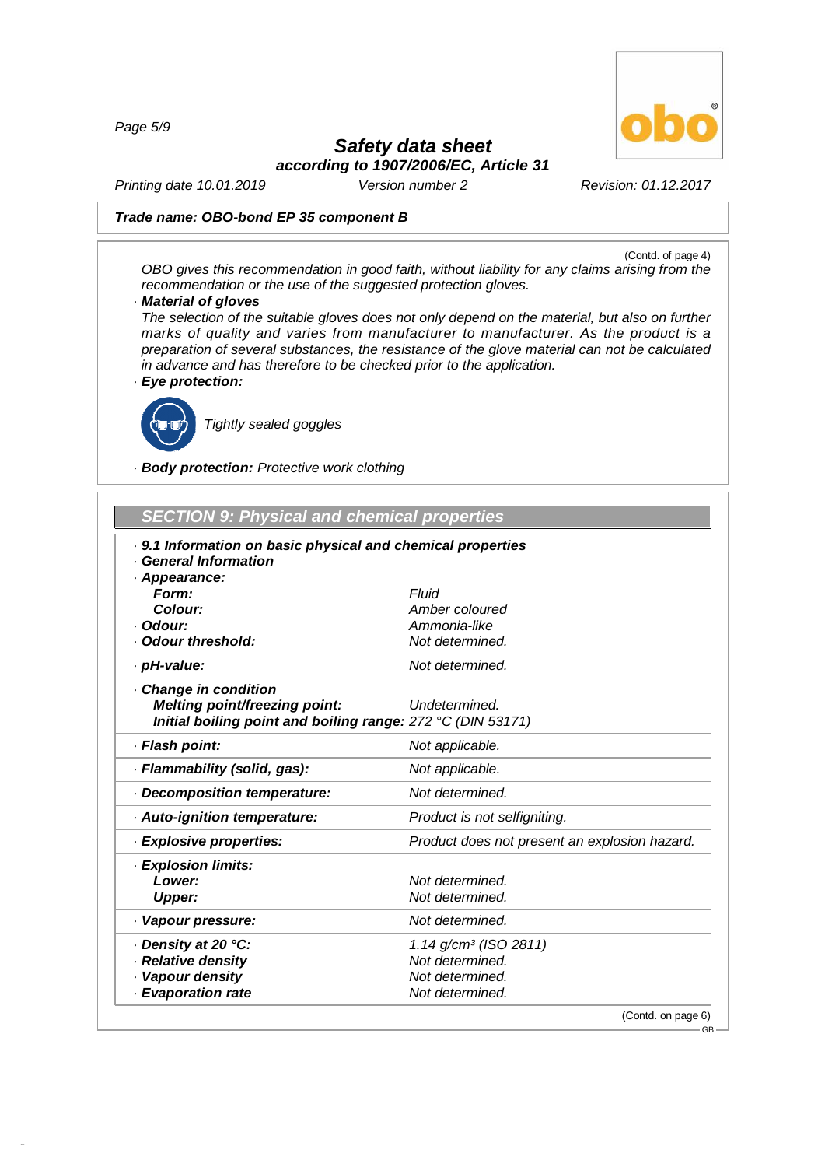*Page 5/9*



# *Safety data sheet*

*according to 1907/2006/EC, Article 31*

*Printing date 10.01.2019 Version number 2 Revision: 01.12.2017*

#### *Trade name: OBO-bond EP 35 component B*

(Contd. of page 4) *OBO gives this recommendation in good faith, without liability for any claims arising from the recommendation or the use of the suggested protection gloves.*

#### *· Material of gloves*

*The selection of the suitable gloves does not only depend on the material, but also on further marks of quality and varies from manufacturer to manufacturer. As the product is a preparation of several substances, the resistance of the glove material can not be calculated in advance and has therefore to be checked prior to the application.*

*· Eye protection:*



48.0.6

*Tightly sealed goggles*

#### *· Body protection: Protective work clothing*

#### **SECTION** 9: Physical and chemical properties

| . 9.1 Information on basic physical and chemical properties<br><b>General Information</b><br>· Appearance: |                                               |
|------------------------------------------------------------------------------------------------------------|-----------------------------------------------|
| Form:                                                                                                      | Fluid                                         |
| Colour:                                                                                                    | Amber coloured                                |
| · Odour:                                                                                                   | Ammonia-like                                  |
| Odour threshold:                                                                                           | Not determined.                               |
| · pH-value:                                                                                                | Not determined.                               |
| Change in condition                                                                                        |                                               |
| Melting point/freezing point:                                                                              | Undetermined.                                 |
| Initial boiling point and boiling range: 272 °C (DIN 53171)                                                |                                               |
| · Flash point:                                                                                             | Not applicable.                               |
| · Flammability (solid, gas):                                                                               | Not applicable.                               |
| Decomposition temperature:                                                                                 | Not determined.                               |
| Auto-ignition temperature:                                                                                 | Product is not selfigniting.                  |
| · Explosive properties:                                                                                    | Product does not present an explosion hazard. |
| · Explosion limits:                                                                                        |                                               |
| Lower:                                                                                                     | Not determined.                               |
| <b>Upper:</b>                                                                                              | Not determined.                               |
| · Vapour pressure:                                                                                         | Not determined.                               |
| ⋅ Density at 20 °C:                                                                                        | 1.14 g/cm <sup>3</sup> (ISO 2811)             |
| · Relative density                                                                                         | Not determined.                               |
| Vapour density                                                                                             | Not determined.                               |
| · Evaporation rate                                                                                         | Not determined.                               |
|                                                                                                            | (Contd. on page 6)                            |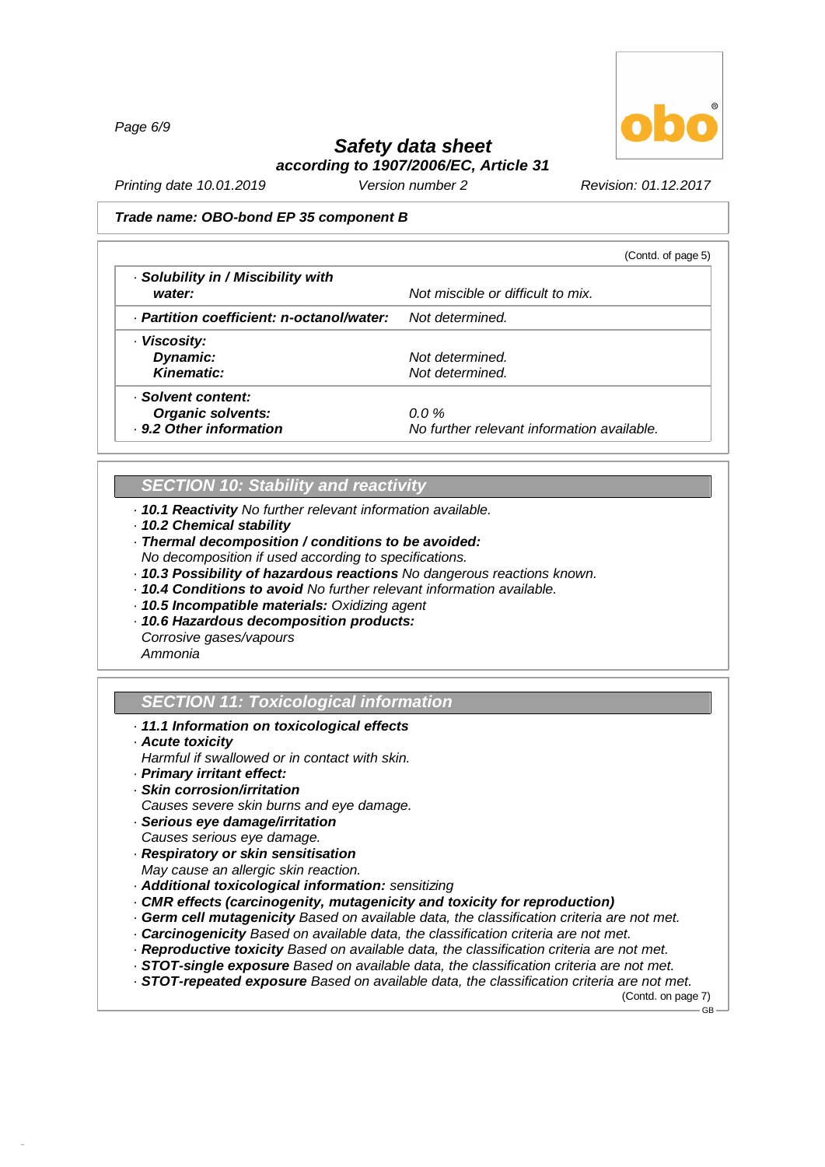*Page 6/9*



# *Safety data sheet according to 1907/2006/EC, Article 31*

*Printing date 10.01.2019 Version number 2 Revision: 01.12.2017*

#### *Trade name: OBO-bond EP 35 component B*

|                                           | (Contd. of page 5)                         |
|-------------------------------------------|--------------------------------------------|
| · Solubility in / Miscibility with        |                                            |
| water:                                    | Not miscible or difficult to mix.          |
| · Partition coefficient: n-octanol/water: | Not determined.                            |
| · Viscosity:                              |                                            |
| Dynamic:                                  | Not determined.                            |
| <b>Kinematic:</b>                         | Not determined.                            |
| · Solvent content:                        |                                            |
| <b>Organic solvents:</b>                  | $0.0\%$                                    |
| . 9.2 Other information                   | No further relevant information available. |

# *SECTION 10: Stability and reactivity*

- *· 10.1 Reactivity No further relevant information available.*
- *· 10.2 Chemical stability*

*· Thermal decomposition / conditions to be avoided:*

- *No decomposition if used according to specifications.*
- *· 10.3 Possibility of hazardous reactions No dangerous reactions known.*
- *· 10.4 Conditions to avoid No further relevant information available.*
- *· 10.5 Incompatible materials: Oxidizing agent*
- *· 10.6 Hazardous decomposition products:*

*Corrosive gases/vapours Ammonia*

# *SECTION 11: Toxicological information*

- *· 11.1 Information on toxicological effects*
- *· Acute toxicity*

48.0.6

- *Harmful if swallowed or in contact with skin.*
- *· Primary irritant effect:*
- *· Skin corrosion/irritation*
- *Causes severe skin burns and eye damage.*
- *· Serious eye damage/irritation*
- *Causes serious eye damage.*
- *· Respiratory or skin sensitisation*
- *May cause an allergic skin reaction.*
- *· Additional toxicological information: sensitizing*
- *· CMR effects (carcinogenity, mutagenicity and toxicity for reproduction)*
- *· Germ cellmutagenicity Based on available data, the classification criteria are not met.*
- *· Carcinogenicity Based on available data, the classification criteria are not met.*
- *· Reproductive toxicity Based on available data, the classification criteria are not met.*
- *· STOT-single exposure Based on available data, the classification criteria are not met.*
- *· STOT-repeated exposure Based on available data, the classification criteria are not met.*

(Contd. on page 7)  $-$  GB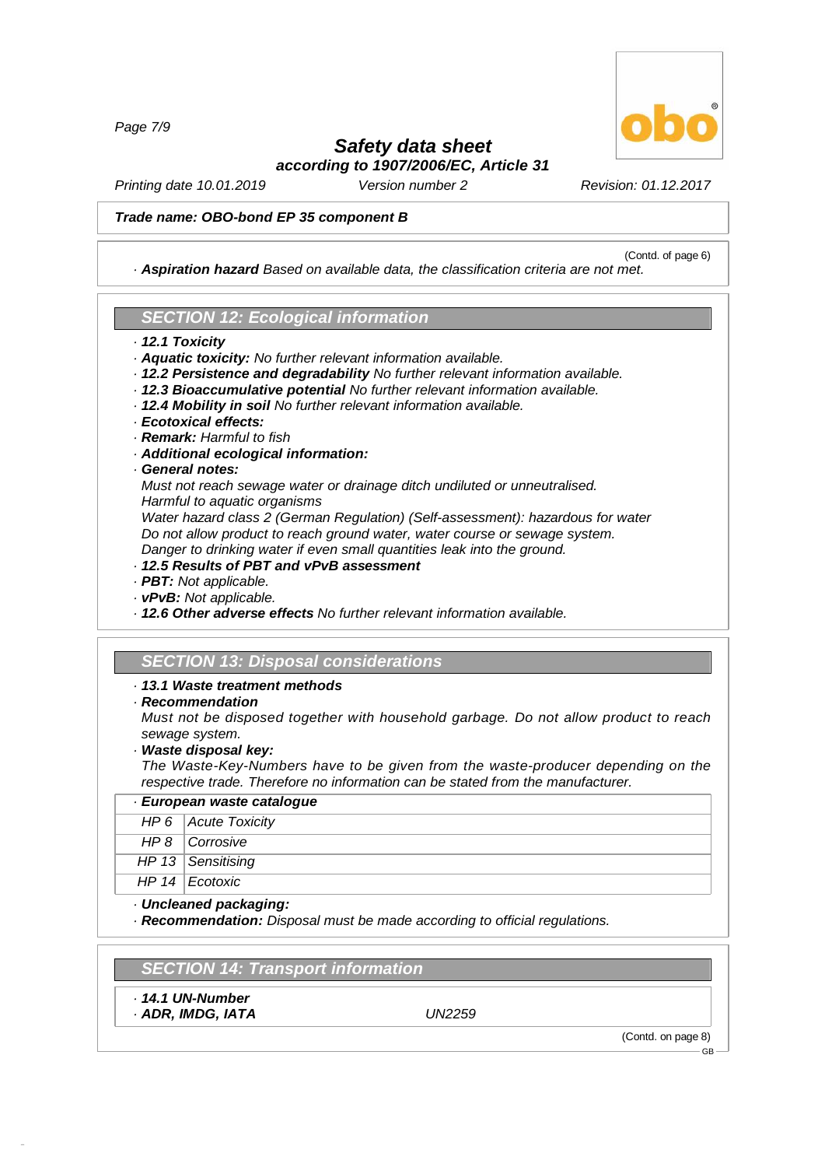*Page 7/9*

# *Safety data sheet*

*according to 1907/2006/EC, Article 31*

*Printing date 10.01.2019 Version number 2 Revision: 01.12.2017*

#### *Trade name: OBO-bond EP 35 component B*

(Contd. of page 6) *· Aspiration hazard Based on available data, the classification criteria are not met.*

## *SECTION 12: Ecological information*

- *· 12.1 Toxicity*
- *· Aquatic toxicity: No further relevant information available.*
- *· 12.2 Persistence and degradability No further relevant information available.*
- *· 12.3 Bioaccumulative potential No further relevant information available.*
- *· 12.4 Mobility in soil No further relevant information available.*
- *· Ecotoxical effects:*
- *· Remark: Harmful to fish*
- *· Additional ecological information:*

#### *· General notes:*

*Must not reach sewage water or drainage ditch undiluted or unneutralised. Harmful to aquatic organisms*

*Water hazard class 2 (German Regulation) (Self-assessment): hazardous for water Do not allow product to reach ground water, water course or sewage system. Danger to drinking water if even small quantities leak into the ground.*

- *· 12.5 Results of PBT and vPvB assessment*
- *· PBT: Not applicable.*
- *· vPvB: Not applicable.*
- *· 12.6 Other adverse effects No further relevant information available.*

## *SECTION 13: Disposal considerations*

#### *· 13.1 Waste treatment methods*

*· Recommendation*

*Must not be disposed together with household garbage. Do not allow product to reach sewage system.*

*· Waste disposal key:*

*The Waste-Key-Numbers have to be given from the waste-producer depending on the respective trade. Therefore no information can be stated from the manufacturer.*

## *· European waste catalogue HP 6 Acute Toxicity*

- *HP 8 Corrosive*
- *HP 13 Sensitising*
- *HP 14 Ecotoxic*
- *· Uncleaned packaging:*

*· Recommendation: Disposal must be made according to official regulations.*

## *SECTION 14: Transport information*

*· 14.1 UN-Number*

48.0.6

*· ADR, IMDG, IATA UN2259*

(Contd. on page 8)

GB

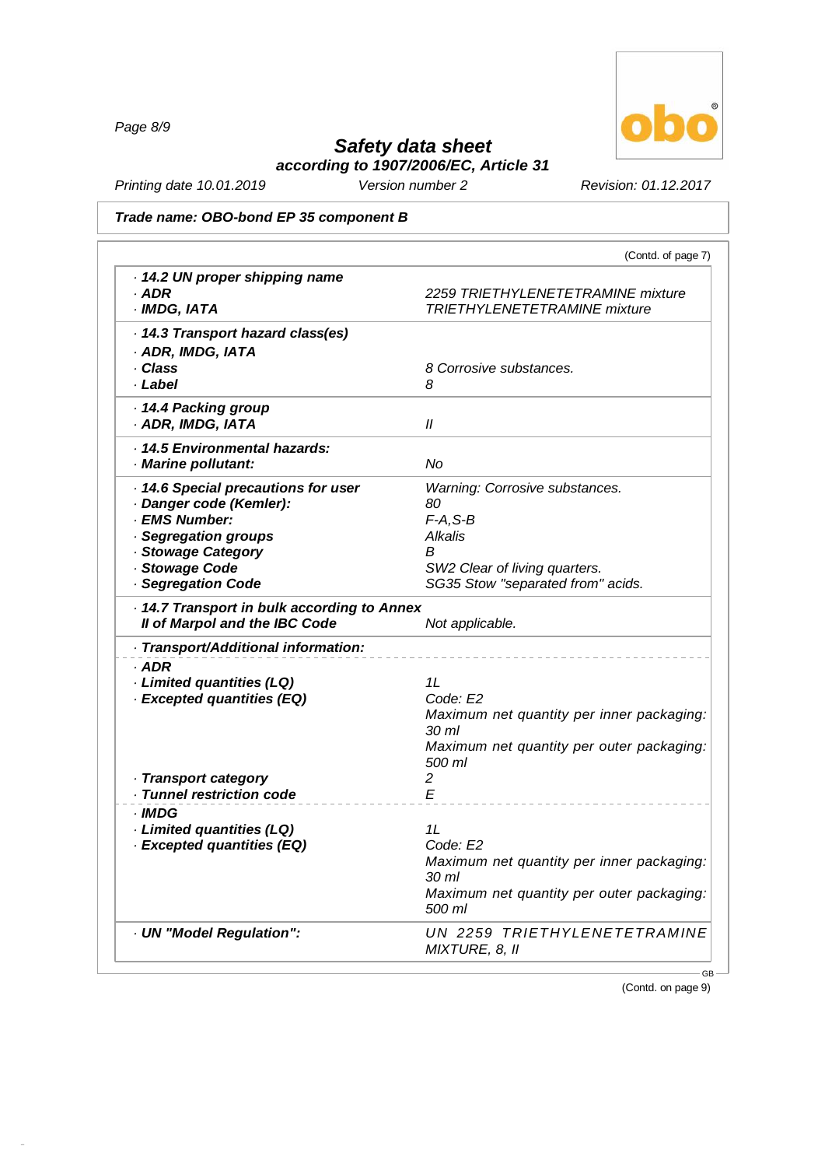*Page 8/9*

48.0.6



# *Safety data sheet*

*according to 1907/2006/EC, Article 31*

*Printing date 10.01.2019 Version number 2 Revision: 01.12.2017*

*Trade name: OBO-bond EP 35 component B*

|                                                                                                                                                                     | (Contd. of page 7)                                                                                                                          |
|---------------------------------------------------------------------------------------------------------------------------------------------------------------------|---------------------------------------------------------------------------------------------------------------------------------------------|
| 14.2 UN proper shipping name<br>· ADR<br>· IMDG, IATA                                                                                                               | 2259 TRIETHYLENETETRAMINE mixture<br>TRIETHYLENETETRAMINE mixture                                                                           |
| . 14.3 Transport hazard class(es)<br>· ADR, IMDG, IATA<br>· Class<br>· Label                                                                                        | 8 Corrosive substances.<br>8                                                                                                                |
| 14.4 Packing group<br>· ADR, IMDG, IATA                                                                                                                             | $\mathcal{U}$                                                                                                                               |
| · 14.5 Environmental hazards:<br>· Marine pollutant:                                                                                                                | No                                                                                                                                          |
| 14.6 Special precautions for user<br>· Danger code (Kemler):<br>· EMS Number:<br>· Segregation groups<br>· Stowage Category<br>· Stowage Code<br>· Segregation Code | Warning: Corrosive substances.<br>80<br>$F-A, S-B$<br>Alkalis<br>В<br>SW2 Clear of living quarters.<br>SG35 Stow "separated from" acids.    |
| 14.7 Transport in bulk according to Annex<br>Il of Marpol and the IBC Code                                                                                          | Not applicable.                                                                                                                             |
| · Transport/Additional information:                                                                                                                                 |                                                                                                                                             |
| $·$ ADR<br>· Limited quantities (LQ)<br>· Excepted quantities (EQ)<br>· Transport category                                                                          | 1L<br>Code: E2<br>Maximum net quantity per inner packaging:<br>30 <sub>ml</sub><br>Maximum net quantity per outer packaging:<br>500 ml<br>2 |
| · Tunnel restriction code                                                                                                                                           | E                                                                                                                                           |
| · IMDG<br>· Limited quantities (LQ)<br>· Excepted quantities (EQ)                                                                                                   | 1L<br>Code: E2<br>Maximum net quantity per inner packaging:<br>30 ml<br>Maximum net quantity per outer packaging:                           |
|                                                                                                                                                                     | 500 ml                                                                                                                                      |

(Contd. on page 9)